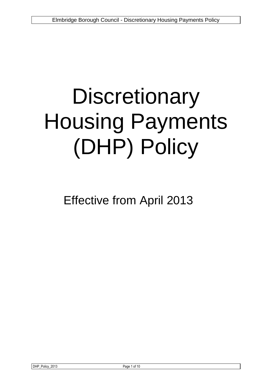# **Discretionary** Housing Payments (DHP) Policy

Effective from April 2013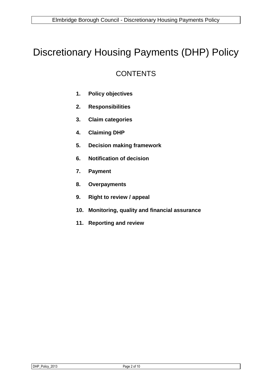## Discretionary Housing Payments (DHP) Policy

### **CONTENTS**

- **1. Policy objectives**
- **2. Responsibilities**
- **3. Claim categories**
- **4. Claiming DHP**
- **5. Decision making framework**
- **6. Notification of decision**
- **7. Payment**
- **8. Overpayments**
- **9. Right to review / appeal**
- **10. Monitoring, quality and financial assurance**
- **11. Reporting and review**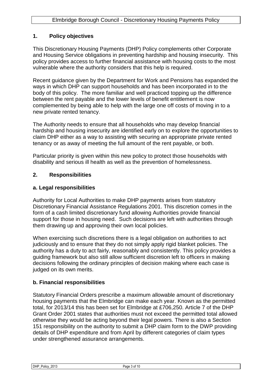#### **1. Policy objectives**

This Discretionary Housing Payments (DHP) Policy complements other Corporate and Housing Service obligations in preventing hardship and housing insecurity. This policy provides access to further financial assistance with housing costs to the most vulnerable where the authority considers that this help is required.

Recent guidance given by the Department for Work and Pensions has expanded the ways in which DHP can support households and has been incorporated in to the body of this policy. The more familiar and well practiced topping up the difference between the rent payable and the lower levels of benefit entitlement is now complemented by being able to help with the large one off costs of moving in to a new private rented tenancy.

The Authority needs to ensure that all households who may develop financial hardship and housing insecurity are identified early on to explore the opportunities to claim DHP either as a way to assisting with securing an appropriate private rented tenancy or as away of meeting the full amount of the rent payable, or both.

Particular priority is given within this new policy to protect those households with disability and serious ill health as well as the prevention of homelessness.

#### **2. Responsibilities**

#### **a. Legal responsibilities**

Authority for Local Authorities to make DHP payments arises from statutory Discretionary Financial Assistance Regulations 2001. This discretion comes in the form of a cash limited discretionary fund allowing Authorities provide financial support for those in housing need. Such decisions are left with authorities through them drawing up and approving their own local policies.

When exercising such discretions there is a legal obligation on authorities to act judiciously and to ensure that they do not simply apply rigid blanket policies. The authority has a duty to act fairly, reasonably and consistently. This policy provides a guiding framework but also still allow sufficient discretion left to officers in making decisions following the ordinary principles of decision making where each case is judged on its own merits.

#### **b. Financial responsibilities**

Statutory Financial Orders prescribe a maximum allowable amount of discretionary housing payments that the Elmbridge can make each year. Known as the permitted total, for 2013/14 this has been set for Elmbridge at £706,250. Article 7 of the DHP Grant Order 2001 states that authorities must not exceed the permitted total allowed otherwise they would be acting beyond their legal powers. There is also a Section 151 responsibility on the authority to submit a DHP claim form to the DWP providing details of DHP expenditure and from April by different categories of claim types under strengthened assurance arrangements.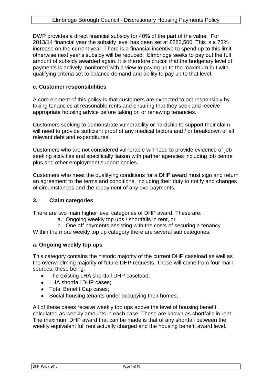DWP provides a direct financial subsidy for 40% of the part of the value. For 2013/14 financial year the subsidy level has been set at £282,500. This is a 73% increase on the current year. There is a financial incentive to spend up to this limit otherwise next year's subsidy will be reduced. Elmbridge seeks to pay out the full amount of subsidy awarded again. It is therefore crucial that the budgetary level of payments is actively monitored with a view to paying up to the maximum but with qualifying criteria set to balance demand and ability to pay up to that level.

#### **c. Customer responsibilities**

A core element of this policy is that customers are expected to act responsibly by taking tenancies at reasonable rents and ensuring that they seek and receive appropriate housing advice before taking on or renewing tenancies.

Customers seeking to demonstrate vulnerability or hardship to support their claim will need to provide sufficient proof of any medical factors and / or breakdown of all relevant debt and expenditures.

Customers who are not considered vulnerable will need to provide evidence of job seeking activities and specifically liaison with partner agencies including job centre plus and other employment support bodies.

Customers who meet the qualifying conditions for a DHP award must sign and return an agreement to the terms and conditions, including their duty to notify and changes of circumstances and the repayment of any overpayments.

#### **3. Claim categories**

There are two main higher level categories of DHP award. These are:

a. Ongoing weekly top ups / shortfalls in rent, or

b. One off payments assisting with the costs of securing a tenancy Within the more weekly top up category there are several sub categories.

#### **a. Ongoing weekly top ups**

This category contains the historic majority of the current DHP caseload as well as the overwhelming majority of future DHP requests. These will come from four main sources; these being:

- The existing LHA shortfall DHP caseload;
- LHA shortfall DHP cases:
- Total Benefit Cap cases;
- Social housing tenants under occupying their homes;

All of these cases receive weekly top ups above the level of housing benefit calculated as weekly amounts in each case. These are known as shortfalls in rent. The maximum DHP award that can be made is that of any shortfall between the weekly equivalent full rent actually charged and the housing benefit award level.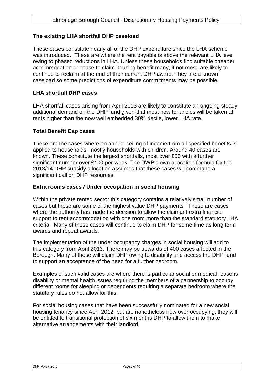#### **The existing LHA shortfall DHP caseload**

These cases constitute nearly all of the DHP expenditure since the LHA scheme was introduced. These are where the rent payable is above the relevant LHA level owing to phased reductions in LHA. Unless these households find suitable cheaper accommodation or cease to claim housing benefit many, if not most, are likely to continue to reclaim at the end of their current DHP award. They are a known caseload so some predictions of expenditure commitments may be possible.

#### **LHA shortfall DHP cases**

LHA shortfall cases arising from April 2013 are likely to constitute an ongoing steady additional demand on the DHP fund given that most new tenancies will be taken at rents higher than the now well embedded 30% decile, lower LHA rate.

#### **Total Benefit Cap cases**

These are the cases where an annual ceiling of income from all specified benefits is applied to households, mostly households with children. Around 40 cases are known. These constitute the largest shortfalls, most over £50 with a further significant number over £100 per week. The DWP's own allocation formula for the 2013/14 DHP subsidy allocation assumes that these cases will command a significant call on DHP resources.

#### **Extra rooms cases / Under occupation in social housing**

Within the private rented sector this category contains a relatively small number of cases but these are some of the highest value DHP payments. These are cases where the authority has made the decision to allow the claimant extra financial support to rent accommodation with one room more than the standard statutory LHA criteria. Many of these cases will continue to claim DHP for some time as long term awards and repeat awards.

The implementation of the under occupancy charges in social housing will add to this category from April 2013. There may be upwards of 400 cases affected in the Borough. Many of these will claim DHP owing to disability and access the DHP fund to support an acceptance of the need for a further bedroom.

Examples of such valid cases are where there is particular social or medical reasons disability or mental health issues requiring the members of a partnership to occupy different rooms for sleeping or dependents requiring a separate bedroom where the statutory rules do not allow for this.

For social housing cases that have been successfully nominated for a new social housing tenancy since April 2012, but are nonetheless now over occupying, they will be entitled to transitional protection of six months DHP to allow them to make alternative arrangements with their landlord.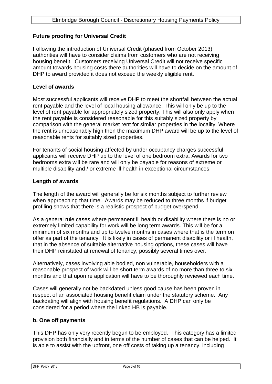#### **Future proofing for Universal Credit**

Following the introduction of Universal Credit (phased from October 2013) authorities will have to consider claims from customers who are not receiving housing benefit. Customers receiving Universal Credit will not receive specific amount towards housing costs there authorities will have to decide on the amount of DHP to award provided it does not exceed the weekly eligible rent.

#### **Level of awards**

Most successful applicants will receive DHP to meet the shortfall between the actual rent payable and the level of local housing allowance. This will only be up to the level of rent payable for appropriately sized property. This will also only apply when the rent payable is considered reasonable for this suitably sized property by comparison with the general market rent for similar properties in the locality. Where the rent is unreasonably high then the maximum DHP award will be up to the level of reasonable rents for suitably sized properties.

For tenants of social housing affected by under occupancy charges successful applicants will receive DHP up to the level of one bedroom extra. Awards for two bedrooms extra will be rare and will only be payable for reasons of extreme or multiple disability and / or extreme ill health in exceptional circumstances.

#### **Length of awards**

The length of the award will generally be for six months subject to further review when approaching that time. Awards may be reduced to three months if budget profiling shows that there is a realistic prospect of budget overspend.

As a general rule cases where permanent ill health or disability where there is no or extremely limited capability for work will be long term awards. This will be for a minimum of six months and up to twelve months in cases where that is the term on offer as part of the tenancy. It is likely in cases of permanent disability or ill health, that in the absence of suitable alternative housing options, these cases will have their DHP reinstated at renewal of tenancy, possibly several times over.

Alternatively, cases involving able bodied, non vulnerable, householders with a reasonable prospect of work will be short term awards of no more than three to six months and that upon re application will have to be thoroughly reviewed each time.

Cases will generally not be backdated unless good cause has been proven in respect of an associated housing benefit claim under the statutory scheme. Any backdating will align with housing benefit regulations. A DHP can only be considered for a period where the linked HB is payable.

#### **b. One off payments**

This DHP has only very recently begun to be employed. This category has a limited provision both financially and in terms of the number of cases that can be helped. It is able to assist with the upfront, one off costs of taking up a tenancy, including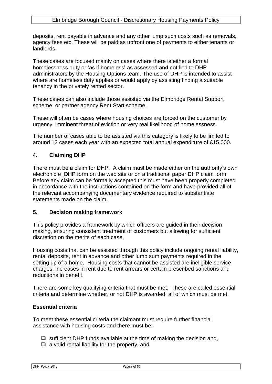deposits, rent payable in advance and any other lump such costs such as removals, agency fees etc. These will be paid as upfront one of payments to either tenants or landlords.

These cases are focused mainly on cases where there is either a formal homelessness duty or 'as if homeless' as assessed and notified to DHP administrators by the Housing Options team. The use of DHP is intended to assist where are homeless duty applies or would apply by assisting finding a suitable tenancy in the privately rented sector.

These cases can also include those assisted via the Elmbridge Rental Support scheme, or partner agency Rent Start scheme.

These will often be cases where housing choices are forced on the customer by urgency, imminent threat of eviction or very real likelihood of homelessness.

The number of cases able to be assisted via this category is likely to be limited to around 12 cases each year with an expected total annual expenditure of £15,000.

#### **4. Claiming DHP**

There must be a claim for DHP. A claim must be made either on the authority's own electronic e\_DHP form on the web site or on a traditional paper DHP claim form. Before any claim can be formally accepted this must have been properly completed in accordance with the instructions contained on the form and have provided all of the relevant accompanying documentary evidence required to substantiate statements made on the claim.

#### **5. Decision making framework**

This policy provides a framework by which officers are guided in their decision making, ensuring consistent treatment of customers but allowing for sufficient discretion on the merits of each case.

Housing costs that can be assisted through this policy include ongoing rental liability, rental deposits, rent in advance and other lump sum payments required in the setting up of a home. Housing costs that cannot be assisted are ineligible service charges, increases in rent due to rent arrears or certain prescribed sanctions and reductions in benefit.

There are some key qualifying criteria that must be met. These are called essential criteria and determine whether, or not DHP is awarded; all of which must be met.

#### **Essential criteria**

To meet these essential criteria the claimant must require further financial assistance with housing costs and there must be:

- $\Box$  sufficient DHP funds available at the time of making the decision and,
- $\Box$  a valid rental liability for the property, and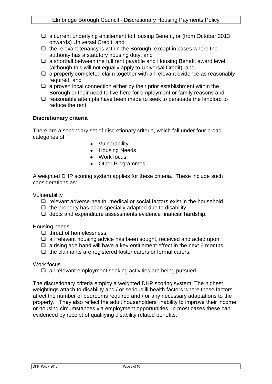- □ a current underlying entitlement to Housing Benefit, or (from October 2013 onwards) Universal Credit, and
- $\Box$  the relevant tenancy is within the Borough, except in cases where the authority has a statutory housing duty, and
- $\Box$  a shortfall between the full rent payable and Housing Benefit award level (although this will not equally apply to Universal Credit), and
- $\Box$  a properly completed claim together with all relevant evidence as reasonably required, and
- $\Box$  a proven local connection either by their prior establishment within the Borough or their need to live here for employment or family reasons and,
- $\Box$  reasonable attempts have been made to seek to persuade the landlord to reduce the rent.

#### **Discretionary criteria**

There are a secondary set of discretionary criteria, which fall under four broad categories of:

- Vulnerability
- Housing Needs
- Work focus
- Other Programmes

A weighted DHP scoring system applies for these criteria. These include such considerations as:

Vulnerability

- $\Box$  relevant adverse health, medical or social factors exist in the household,
- $\Box$  the property has been specially adapted due to disability,
- $\Box$  debts and expenditure assessments evidence financial hardship.

Housing needs

- $\Box$  threat of homelessness.
- $\Box$  all relevant housing advice has been sought, received and acted upon,
- $\Box$  a rising age band will have a key entitlement effect in the next 6 months,
- $\Box$  the claimants are registered foster carers or formal carers.

#### Work focus

 $\Box$  all relevant employment seeking activities are being pursued.

The discretionary criteria employ a weighted DHP scoring system. The highest weightings attach to disability and / or serious ill health factors where these factors affect the number of bedrooms required and / or any necessary adaptations to the property. They also reflect the adult householders' inability to improve their income or housing circumstances via employment opportunities. In most cases these can evidenced by receipt of qualifying disability related benefits.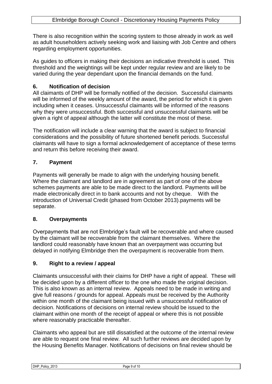There is also recognition within the scoring system to those already in work as well as adult householders actively seeking work and liaising with Job Centre and others regarding employment opportunities.

As guides to officers in making their decisions an indicative threshold is used. This threshold and the weightings will be kept under regular review and are likely to be varied during the year dependant upon the financial demands on the fund.

#### **6. Notification of decision**

All claimants of DHP will be formally notified of the decision. Successful claimants will be informed of the weekly amount of the award, the period for which it is given including when it ceases. Unsuccessful claimants will be informed of the reasons why they were unsuccessful. Both successful and unsuccessful claimants will be given a right of appeal although the latter will constitute the most of these.

The notification will include a clear warning that the award is subject to financial considerations and the possibility of future shortened benefit periods. Successful claimants will have to sign a formal acknowledgement of acceptance of these terms and return this before receiving their award.

#### **7. Payment**

Payments will generally be made to align with the underlying housing benefit. Where the claimant and landlord are in agreement as part of one of the above schemes payments are able to be made direct to the landlord. Payments will be made electronically direct in to bank accounts and not by cheque. With the introduction of Universal Credit (phased from October 2013).payments will be separate.

#### **8. Overpayments**

Overpayments that are not Elmbridge's fault will be recoverable and where caused by the claimant will be recoverable from the claimant themselves. Where the landlord could reasonably have known that an overpayment was occurring but delayed in notifying Elmbridge then the overpayment is recoverable from them.

#### **9. Right to a review / appeal**

Claimants unsuccessful with their claims for DHP have a right of appeal. These will be decided upon by a different officer to the one who made the original decision. This is also known as an internal review. Appeals need to be made in writing and give full reasons / grounds for appeal. Appeals must be received by the Authority within one month of the claimant being issued with a unsuccessful notification of decision. Notifications of decisions on internal review should be issued to the claimant within one month of the receipt of appeal or where this is not possible where reasonably practicable thereafter.

Claimants who appeal but are still dissatisfied at the outcome of the internal review are able to request one final review. All such further reviews are decided upon by the Housing Benefits Manager. Notifications of decisions on final review should be